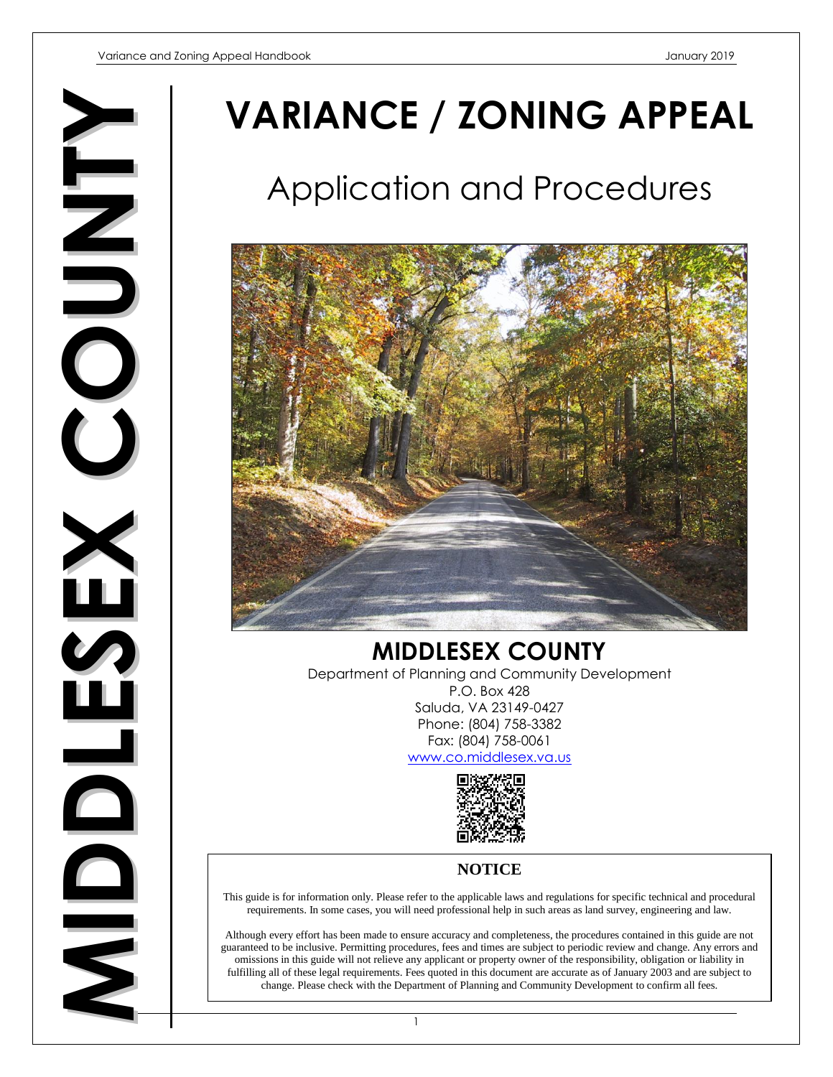**MIDDLESEXC OUNTY**

# **VARIANCE / ZONING APPEAL**

# Application and Procedures



**MIDDLESEX COUNTY** Department of Planning and Community Development P.O. Box 428 Saluda, VA 23149-0427 Phone: (804) 758-3382 Fax: (804) 758-0061 [www.co.middlesex.va.us](http://www.co.middlesex.va.us/)



# **NOTICE**

This guide is for information only. Please refer to the applicable laws and regulations for specific technical and procedural requirements. In some cases, you will need professional help in such areas as land survey, engineering and law.

Although every effort has been made to ensure accuracy and completeness, the procedures contained in this guide are not guaranteed to be inclusive. Permitting procedures, fees and times are subject to periodic review and change. Any errors and omissions in this guide will not relieve any applicant or property owner of the responsibility, obligation or liability in fulfilling all of these legal requirements. Fees quoted in this document are accurate as of January 2003 and are subject to change. Please check with the Department of Planning and Community Development to confirm all fees.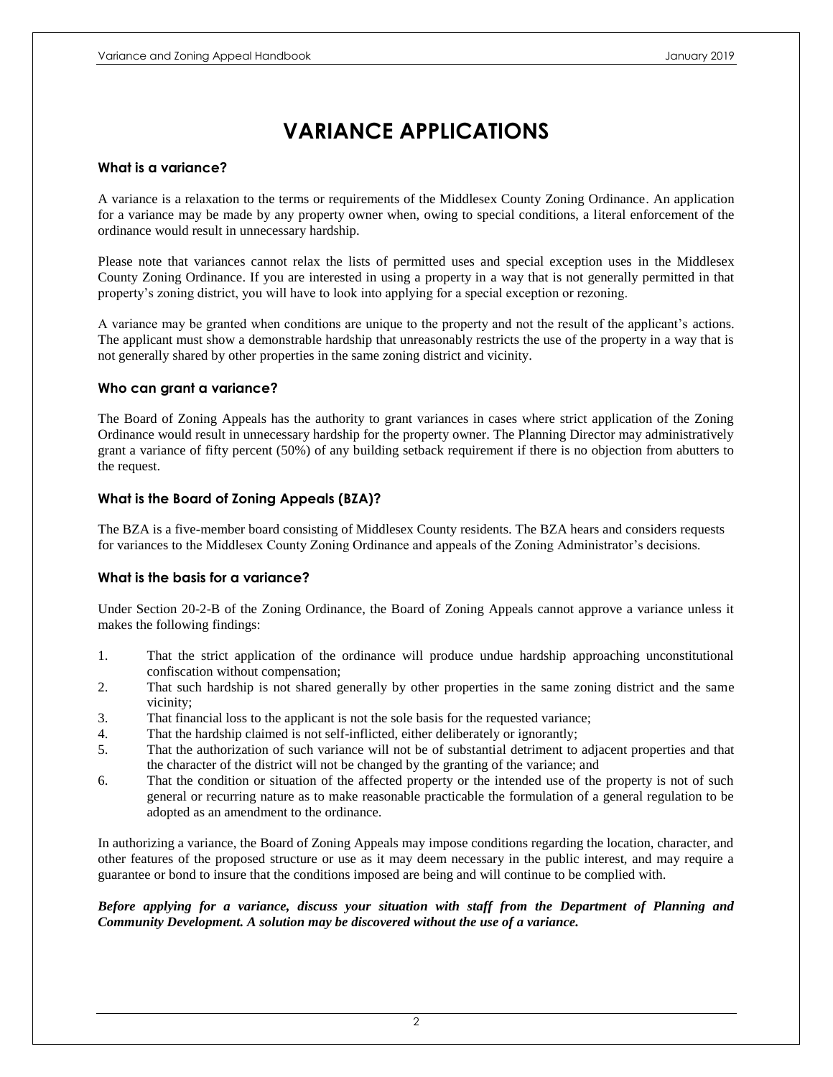# **VARIANCE APPLICATIONS**

#### **What is a variance?**

A variance is a relaxation to the terms or requirements of the Middlesex County Zoning Ordinance. An application for a variance may be made by any property owner when, owing to special conditions, a literal enforcement of the ordinance would result in unnecessary hardship.

Please note that variances cannot relax the lists of permitted uses and special exception uses in the Middlesex County Zoning Ordinance. If you are interested in using a property in a way that is not generally permitted in that property's zoning district, you will have to look into applying for a special exception or rezoning.

A variance may be granted when conditions are unique to the property and not the result of the applicant's actions. The applicant must show a demonstrable hardship that unreasonably restricts the use of the property in a way that is not generally shared by other properties in the same zoning district and vicinity.

#### **Who can grant a variance?**

The Board of Zoning Appeals has the authority to grant variances in cases where strict application of the Zoning Ordinance would result in unnecessary hardship for the property owner. The Planning Director may administratively grant a variance of fifty percent (50%) of any building setback requirement if there is no objection from abutters to the request.

#### **What is the Board of Zoning Appeals (BZA)?**

The BZA is a five-member board consisting of Middlesex County residents. The BZA hears and considers requests for variances to the Middlesex County Zoning Ordinance and appeals of the Zoning Administrator's decisions.

#### **What is the basis for a variance?**

Under Section 20-2-B of the Zoning Ordinance, the Board of Zoning Appeals cannot approve a variance unless it makes the following findings:

- 1. That the strict application of the ordinance will produce undue hardship approaching unconstitutional confiscation without compensation;
- 2. That such hardship is not shared generally by other properties in the same zoning district and the same vicinity;
- 3. That financial loss to the applicant is not the sole basis for the requested variance;
- 4. That the hardship claimed is not self-inflicted, either deliberately or ignorantly;
- 5. That the authorization of such variance will not be of substantial detriment to adjacent properties and that the character of the district will not be changed by the granting of the variance; and
- 6. That the condition or situation of the affected property or the intended use of the property is not of such general or recurring nature as to make reasonable practicable the formulation of a general regulation to be adopted as an amendment to the ordinance.

In authorizing a variance, the Board of Zoning Appeals may impose conditions regarding the location, character, and other features of the proposed structure or use as it may deem necessary in the public interest, and may require a guarantee or bond to insure that the conditions imposed are being and will continue to be complied with.

#### *Before applying for a variance, discuss your situation with staff from the Department of Planning and Community Development. A solution may be discovered without the use of a variance.*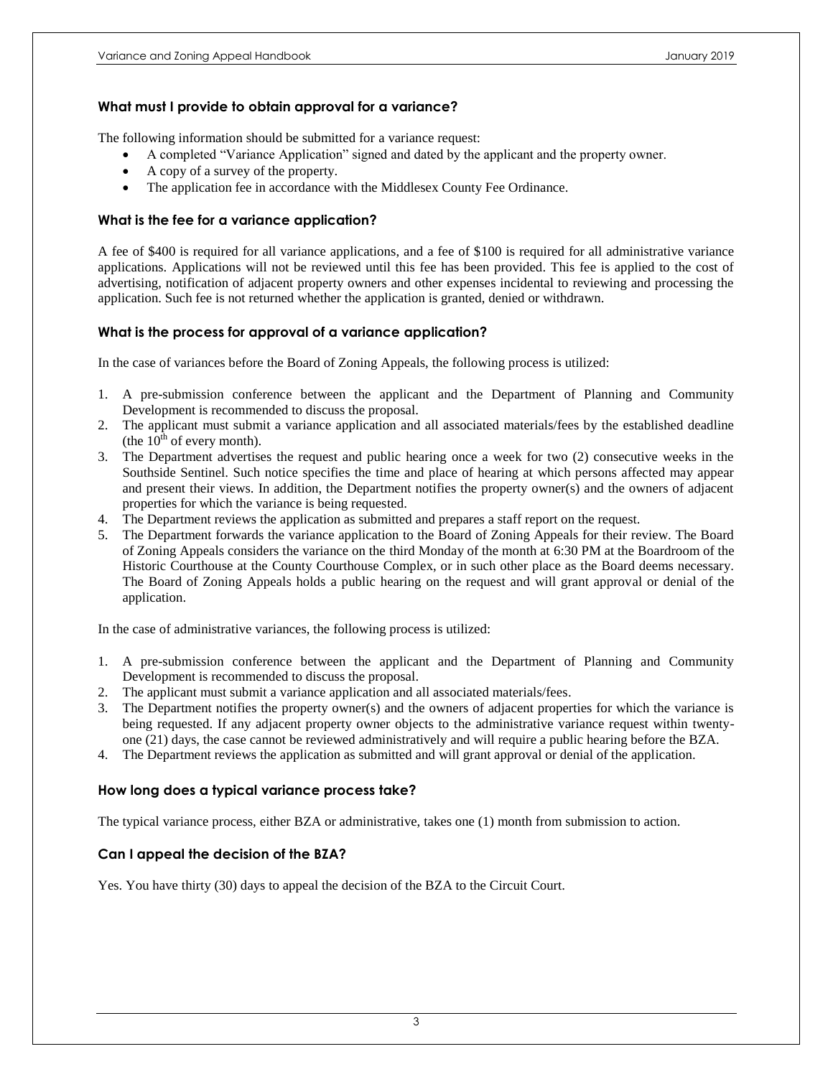#### **What must I provide to obtain approval for a variance?**

The following information should be submitted for a variance request:

- A completed "Variance Application" signed and dated by the applicant and the property owner.
- A copy of a survey of the property.
- The application fee in accordance with the Middlesex County Fee Ordinance.

#### **What is the fee for a variance application?**

A fee of \$400 is required for all variance applications, and a fee of \$100 is required for all administrative variance applications. Applications will not be reviewed until this fee has been provided. This fee is applied to the cost of advertising, notification of adjacent property owners and other expenses incidental to reviewing and processing the application. Such fee is not returned whether the application is granted, denied or withdrawn.

#### **What is the process for approval of a variance application?**

In the case of variances before the Board of Zoning Appeals, the following process is utilized:

- 1. A pre-submission conference between the applicant and the Department of Planning and Community Development is recommended to discuss the proposal.
- 2. The applicant must submit a variance application and all associated materials/fees by the established deadline (the  $10^{th}$  of every month).
- 3. The Department advertises the request and public hearing once a week for two (2) consecutive weeks in the Southside Sentinel. Such notice specifies the time and place of hearing at which persons affected may appear and present their views. In addition, the Department notifies the property owner(s) and the owners of adjacent properties for which the variance is being requested.
- 4. The Department reviews the application as submitted and prepares a staff report on the request.
- 5. The Department forwards the variance application to the Board of Zoning Appeals for their review. The Board of Zoning Appeals considers the variance on the third Monday of the month at 6:30 PM at the Boardroom of the Historic Courthouse at the County Courthouse Complex, or in such other place as the Board deems necessary. The Board of Zoning Appeals holds a public hearing on the request and will grant approval or denial of the application.

In the case of administrative variances, the following process is utilized:

- 1. A pre-submission conference between the applicant and the Department of Planning and Community Development is recommended to discuss the proposal.
- 2. The applicant must submit a variance application and all associated materials/fees.
- 3. The Department notifies the property owner(s) and the owners of adjacent properties for which the variance is being requested. If any adjacent property owner objects to the administrative variance request within twentyone (21) days, the case cannot be reviewed administratively and will require a public hearing before the BZA.
- 4. The Department reviews the application as submitted and will grant approval or denial of the application.

#### **How long does a typical variance process take?**

The typical variance process, either BZA or administrative, takes one (1) month from submission to action.

#### **Can I appeal the decision of the BZA?**

Yes. You have thirty (30) days to appeal the decision of the BZA to the Circuit Court.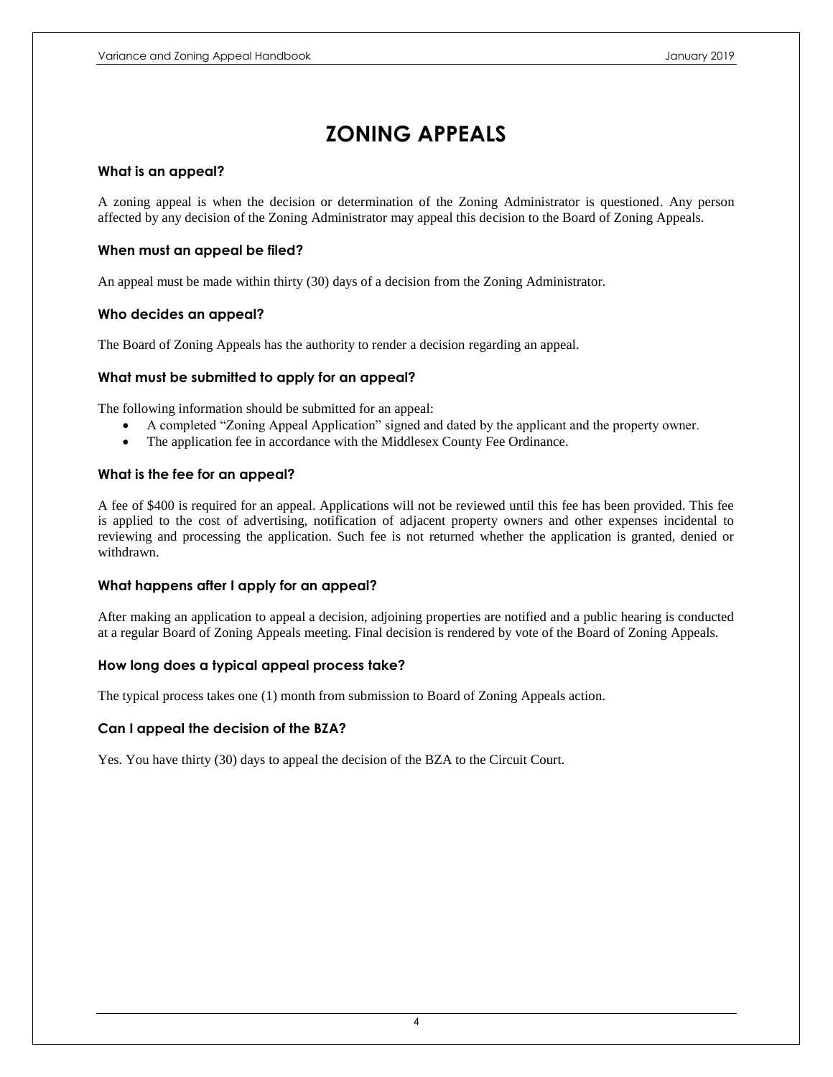# **ZONING APPEALS**

#### **What is an appeal?**

A zoning appeal is when the decision or determination of the Zoning Administrator is questioned. Any person affected by any decision of the Zoning Administrator may appeal this decision to the Board of Zoning Appeals.

#### **When must an appeal be filed?**

An appeal must be made within thirty (30) days of a decision from the Zoning Administrator.

#### **Who decides an appeal?**

The Board of Zoning Appeals has the authority to render a decision regarding an appeal.

#### **What must be submitted to apply for an appeal?**

The following information should be submitted for an appeal:

- A completed "Zoning Appeal Application" signed and dated by the applicant and the property owner.
- The application fee in accordance with the Middlesex County Fee Ordinance.

#### **What is the fee for an appeal?**

A fee of \$400 is required for an appeal. Applications will not be reviewed until this fee has been provided. This fee is applied to the cost of advertising, notification of adjacent property owners and other expenses incidental to reviewing and processing the application. Such fee is not returned whether the application is granted, denied or withdrawn.

#### **What happens after I apply for an appeal?**

After making an application to appeal a decision, adjoining properties are notified and a public hearing is conducted at a regular Board of Zoning Appeals meeting. Final decision is rendered by vote of the Board of Zoning Appeals.

#### **How long does a typical appeal process take?**

The typical process takes one (1) month from submission to Board of Zoning Appeals action.

#### **Can I appeal the decision of the BZA?**

Yes. You have thirty (30) days to appeal the decision of the BZA to the Circuit Court.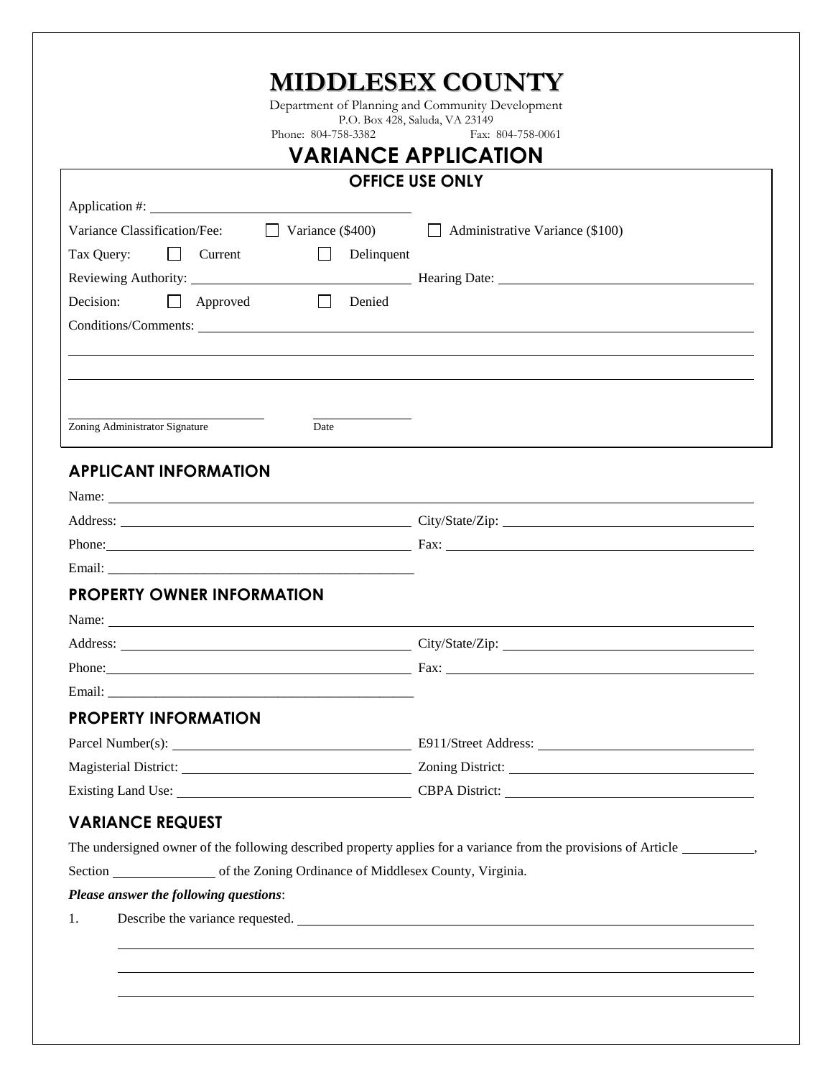|                                                                                                                                           |                              | <b>MIDDLESEX COUNTY</b><br>Department of Planning and Community Development                 |
|-------------------------------------------------------------------------------------------------------------------------------------------|------------------------------|---------------------------------------------------------------------------------------------|
|                                                                                                                                           | Phone: 804-758-3382          | P.O. Box 428, Saluda, VA 23149<br>Fax: 804-758-0061                                         |
|                                                                                                                                           |                              | <b>VARIANCE APPLICATION</b>                                                                 |
|                                                                                                                                           |                              | <b>OFFICE USE ONLY</b>                                                                      |
|                                                                                                                                           |                              |                                                                                             |
|                                                                                                                                           |                              | Variance Classification/Fee: $\Box$ Variance (\$400) $\Box$ Administrative Variance (\$100) |
| Tax Query: Current                                                                                                                        | $\mathbb{R}^n$<br>Delinquent |                                                                                             |
|                                                                                                                                           |                              |                                                                                             |
| Decision:<br>$\Box$ Approved                                                                                                              | $\Box$<br>Denied             |                                                                                             |
|                                                                                                                                           |                              |                                                                                             |
|                                                                                                                                           |                              |                                                                                             |
|                                                                                                                                           |                              |                                                                                             |
|                                                                                                                                           |                              |                                                                                             |
| Zoning Administrator Signature                                                                                                            | Date                         |                                                                                             |
| <b>PROPERTY OWNER INFORMATION</b><br>Name:                                                                                                |                              |                                                                                             |
|                                                                                                                                           |                              | Address: City/State/Zip:                                                                    |
|                                                                                                                                           |                              |                                                                                             |
| <b>PROPERTY INFORMATION</b>                                                                                                               |                              |                                                                                             |
|                                                                                                                                           |                              |                                                                                             |
|                                                                                                                                           |                              |                                                                                             |
|                                                                                                                                           |                              |                                                                                             |
|                                                                                                                                           |                              |                                                                                             |
|                                                                                                                                           |                              |                                                                                             |
|                                                                                                                                           |                              |                                                                                             |
|                                                                                                                                           |                              |                                                                                             |
|                                                                                                                                           |                              |                                                                                             |
|                                                                                                                                           |                              |                                                                                             |
| <b>VARIANCE REQUEST</b><br>Section of the Zoning Ordinance of Middlesex County, Virginia.<br>Please answer the following questions:<br>1. |                              | Existing Land Use: CBPA District: CBPA District:                                            |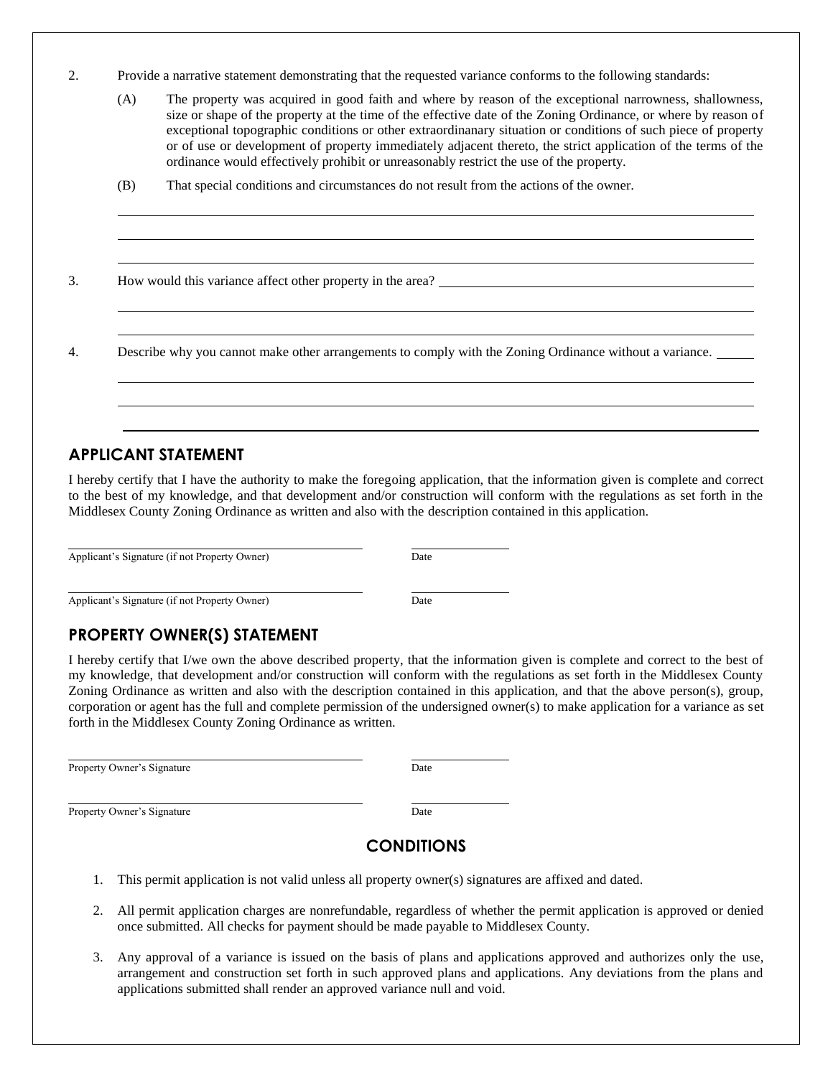| Ź. | Provide a narrative statement demonstrating that the requested variance conforms to the following standards: |  |  |
|----|--------------------------------------------------------------------------------------------------------------|--|--|
|    |                                                                                                              |  |  |

| (A) | The property was acquired in good faith and where by reason of the exceptional narrowness, shallowness,        |
|-----|----------------------------------------------------------------------------------------------------------------|
|     | size or shape of the property at the time of the effective date of the Zoning Ordinance, or where by reason of |
|     | exceptional topographic conditions or other extraordinanary situation or conditions of such piece of property  |
|     | or of use or development of property immediately adjacent thereto, the strict application of the terms of the  |
|     | ordinance would effectively prohibit or unreasonably restrict the use of the property.                         |

(B) That special conditions and circumstances do not result from the actions of the owner.

3. How would this variance affect other property in the area? \_\_\_\_\_\_\_\_\_\_\_\_\_\_\_\_\_\_\_

4. Describe why you cannot make other arrangements to comply with the Zoning Ordinance without a variance.

### **APPLICANT STATEMENT**

I hereby certify that I have the authority to make the foregoing application, that the information given is complete and correct to the best of my knowledge, and that development and/or construction will conform with the regulations as set forth in the Middlesex County Zoning Ordinance as written and also with the description contained in this application.

Applicant's Signature (if not Property Owner) Date

Applicant's Signature (if not Property Owner) Date

## **PROPERTY OWNER(S) STATEMENT**

I hereby certify that I/we own the above described property, that the information given is complete and correct to the best of my knowledge, that development and/or construction will conform with the regulations as set forth in the Middlesex County Zoning Ordinance as written and also with the description contained in this application, and that the above person(s), group, corporation or agent has the full and complete permission of the undersigned owner(s) to make application for a variance as set forth in the Middlesex County Zoning Ordinance as written.

Property Owner's Signature Date

Property Owner's Signature Date

## **CONDITIONS**

- 1. This permit application is not valid unless all property owner(s) signatures are affixed and dated.
- 2. All permit application charges are nonrefundable, regardless of whether the permit application is approved or denied once submitted. All checks for payment should be made payable to Middlesex County.
- 3. Any approval of a variance is issued on the basis of plans and applications approved and authorizes only the use, arrangement and construction set forth in such approved plans and applications. Any deviations from the plans and applications submitted shall render an approved variance null and void.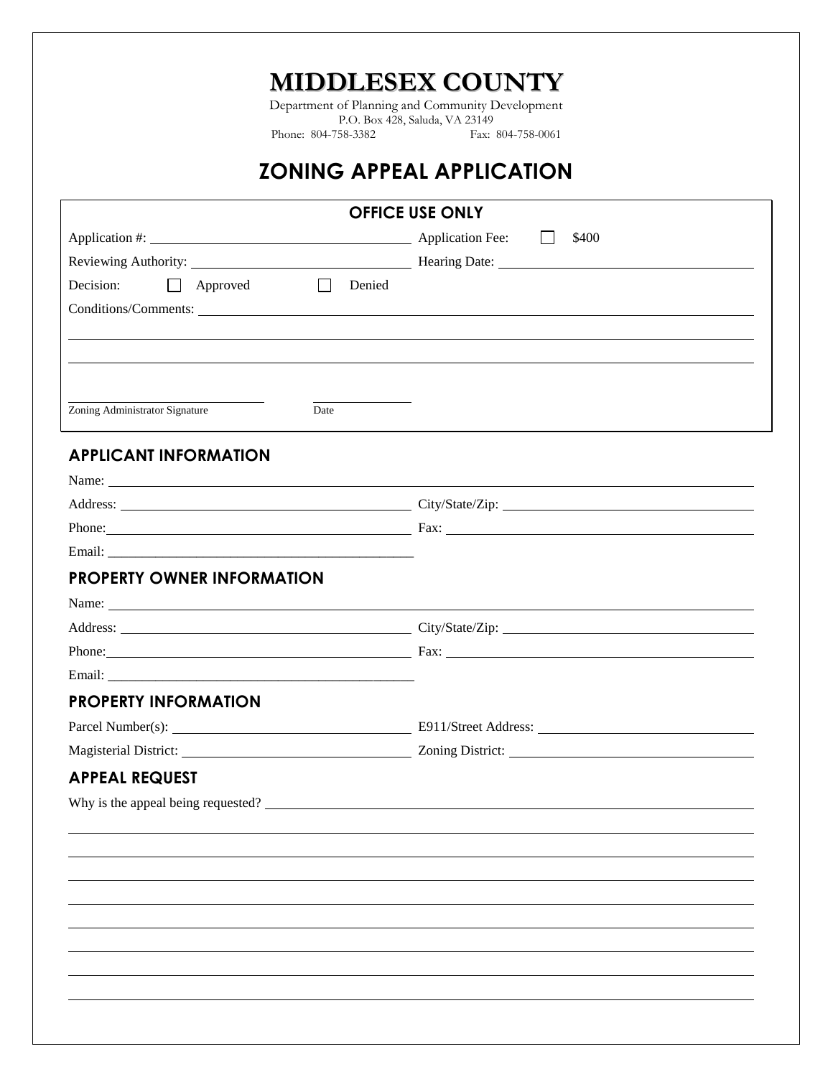**MIDDLESEX COUNTY**

Department of Planning and Community Development P.O. Box 428, Saluda, VA 23149 Phone: 804-758-3382

# **ZONING APPEAL APPLICATION**

|                                    |             | <b>OFFICE USE ONLY</b>                                                                                                                                                                                                         |
|------------------------------------|-------------|--------------------------------------------------------------------------------------------------------------------------------------------------------------------------------------------------------------------------------|
|                                    |             | \$400                                                                                                                                                                                                                          |
|                                    |             |                                                                                                                                                                                                                                |
| Decision:<br>$\Box$ Approved       | П<br>Denied |                                                                                                                                                                                                                                |
|                                    |             | Conditions/Comments: Lawrence Conditions and Comments: Lawrence Conditions and Comments: Lawrence Conditions and Comments: Lawrence Comments: Lawrence Comments: Lawrence Comments: Lawrence Comments: Lawrence Comments: Lawr |
|                                    |             |                                                                                                                                                                                                                                |
|                                    |             |                                                                                                                                                                                                                                |
|                                    |             |                                                                                                                                                                                                                                |
| Zoning Administrator Signature     | Date        |                                                                                                                                                                                                                                |
| <b>APPLICANT INFORMATION</b>       |             |                                                                                                                                                                                                                                |
|                                    |             |                                                                                                                                                                                                                                |
|                                    |             | Address: City/State/Zip: City/State/Zip:                                                                                                                                                                                       |
|                                    |             |                                                                                                                                                                                                                                |
|                                    |             |                                                                                                                                                                                                                                |
| <b>PROPERTY OWNER INFORMATION</b>  |             |                                                                                                                                                                                                                                |
|                                    |             |                                                                                                                                                                                                                                |
|                                    |             | Address: City/State/Zip: City/State/Zip:                                                                                                                                                                                       |
|                                    |             |                                                                                                                                                                                                                                |
|                                    |             |                                                                                                                                                                                                                                |
| <b>PROPERTY INFORMATION</b>        |             |                                                                                                                                                                                                                                |
|                                    |             |                                                                                                                                                                                                                                |
|                                    |             |                                                                                                                                                                                                                                |
| <b>APPEAL REQUEST</b>              |             |                                                                                                                                                                                                                                |
| Why is the appeal being requested? |             |                                                                                                                                                                                                                                |
|                                    |             |                                                                                                                                                                                                                                |
|                                    |             |                                                                                                                                                                                                                                |
|                                    |             |                                                                                                                                                                                                                                |
|                                    |             |                                                                                                                                                                                                                                |
|                                    |             |                                                                                                                                                                                                                                |
|                                    |             |                                                                                                                                                                                                                                |
|                                    |             |                                                                                                                                                                                                                                |
|                                    |             |                                                                                                                                                                                                                                |
|                                    |             |                                                                                                                                                                                                                                |